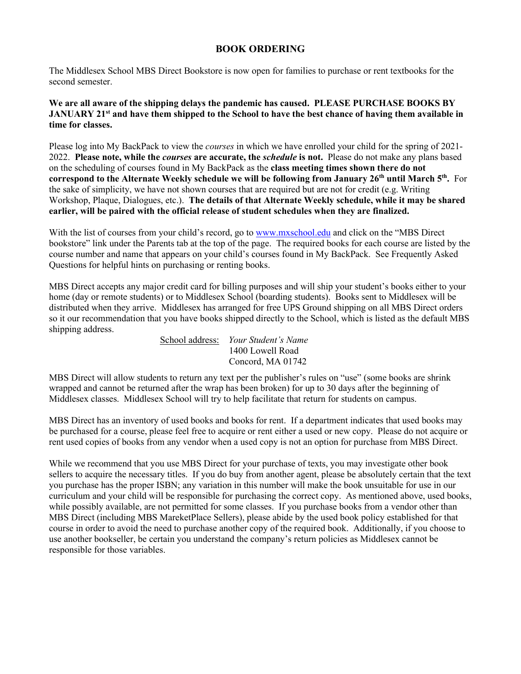# **BOOK ORDERING**

The Middlesex School MBS Direct Bookstore is now open for families to purchase or rent textbooks for the second semester.

**We are all aware of the shipping delays the pandemic has caused. PLEASE PURCHASE BOOKS BY JANUARY 21st and have them shipped to the School to have the best chance of having them available in time for classes.**

Please log into My BackPack to view the *courses* in which we have enrolled your child for the spring of 2021- 2022. **Please note, while the** *courses* **are accurate, the** *schedule* **is not.** Please do not make any plans based on the scheduling of courses found in My BackPack as the **class meeting times shown there do not correspond to the Alternate Weekly schedule we will be following from January 26th until March 5th.** For the sake of simplicity, we have not shown courses that are required but are not for credit (e.g. Writing Workshop, Plaque, Dialogues, etc.). **The details of that Alternate Weekly schedule, while it may be shared earlier, will be paired with the official release of student schedules when they are finalized.**

With the list of courses from your child's record, go to [www.mxschool.edu](http://www.mxschool.edu/) and click on the "MBS Direct" bookstore" link under the Parents tab at the top of the page. The required books for each course are listed by the course number and name that appears on your child's courses found in My BackPack. See Frequently Asked Questions for helpful hints on purchasing or renting books.

MBS Direct accepts any major credit card for billing purposes and will ship your student's books either to your home (day or remote students) or to Middlesex School (boarding students). Books sent to Middlesex will be distributed when they arrive. Middlesex has arranged for free UPS Ground shipping on all MBS Direct orders so it our recommendation that you have books shipped directly to the School, which is listed as the default MBS shipping address.

School address: *Your Student's Name* 1400 Lowell Road Concord, MA 01742

MBS Direct will allow students to return any text per the publisher's rules on "use" (some books are shrink wrapped and cannot be returned after the wrap has been broken) for up to 30 days after the beginning of Middlesex classes. Middlesex School will try to help facilitate that return for students on campus.

MBS Direct has an inventory of used books and books for rent. If a department indicates that used books may be purchased for a course, please feel free to acquire or rent either a used or new copy. Please do not acquire or rent used copies of books from any vendor when a used copy is not an option for purchase from MBS Direct.

While we recommend that you use MBS Direct for your purchase of texts, you may investigate other book sellers to acquire the necessary titles. If you do buy from another agent, please be absolutely certain that the text you purchase has the proper ISBN; any variation in this number will make the book unsuitable for use in our curriculum and your child will be responsible for purchasing the correct copy. As mentioned above, used books, while possibly available, are not permitted for some classes. If you purchase books from a vendor other than MBS Direct (including MBS MareketPlace Sellers), please abide by the used book policy established for that course in order to avoid the need to purchase another copy of the required book. Additionally, if you choose to use another bookseller, be certain you understand the company's return policies as Middlesex cannot be responsible for those variables.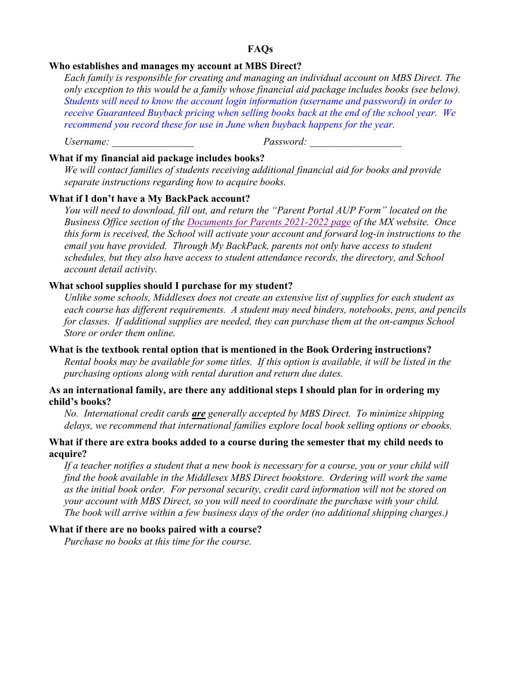# **FAQs**

## **Who establishes and manages my account at MBS Direct?**

*Each family is responsible for creating and managing an individual account on MBS Direct. The only exception to this would be a family whose financial aid package includes books (see below). Students will need to know the account login information (username and password) in order to receive Guaranteed Buyback pricing when selling books back at the end of the school year. We recommend you record these for use in June when buyback happens for the year.*

Username:  $Password$ :

# **What if my financial aid package includes books?**

*We will contact families of students receiving additional financial aid for books and provide separate instructions regarding how to acquire books.*

# **What if I don't have a My BackPack account?**

*You will need to download, fill out, and return the "Parent Portal AUP Form" located on the Business Office section of the [Documents for Parents 2021-2022 page](https://www.mxschool.edu/parents/parents-resources/) of the MX website. Once this form is received, the School will activate your account and forward log-in instructions to the email you have provided. Through My BackPack, parents not only have access to student schedules, but they also have access to student attendance records, the directory, and School account detail activity.*

# **What school supplies should I purchase for my student?**

*Unlike some schools, Middlesex does not create an extensive list of supplies for each student as each course has different requirements. A student may need binders, notebooks, pens, and pencils for classes. If additional supplies are needed, they can purchase them at the on-campus School Store or order them online.*

#### **What is the textbook rental option that is mentioned in the Book Ordering instructions?**

*Rental books may be available for some titles. If this option is available, it will be listed in the purchasing options along with rental duration and return due dates.*

## **As an international family, are there any additional steps I should plan for in ordering my child's books?**

*No. International credit cards are generally accepted by MBS Direct. To minimize shipping delays, we recommend that international families explore local book selling options or ebooks.*

## **What if there are extra books added to a course during the semester that my child needs to acquire?**

*If a teacher notifies a student that a new book is necessary for a course, you or your child will find the book available in the Middlesex MBS Direct bookstore. Ordering will work the same as the initial book order. For personal security, credit card information will not be stored on your account with MBS Direct, so you will need to coordinate the purchase with your child. The book will arrive within a few business days of the order (no additional shipping charges.)*

### **What if there are no books paired with a course?**

*Purchase no books at this time for the course.*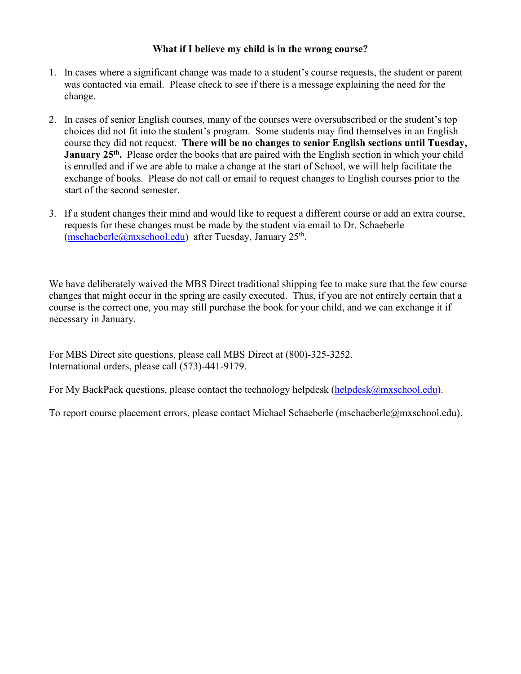# **What if I believe my child is in the wrong course?**

- 1. In cases where a significant change was made to a student's course requests, the student or parent was contacted via email. Please check to see if there is a message explaining the need for the change.
- 2. In cases of senior English courses, many of the courses were oversubscribed or the student's top choices did not fit into the student's program. Some students may find themselves in an English course they did not request. **There will be no changes to senior English sections until Tuesday, January 25<sup>th</sup>.** Please order the books that are paired with the English section in which your child is enrolled and if we are able to make a change at the start of School, we will help facilitate the exchange of books. Please do not call or email to request changes to English courses prior to the start of the second semester.
- 3. If a student changes their mind and would like to request a different course or add an extra course, requests for these changes must be made by the student via email to Dr. Schaeberle  $(mschaeberle@mxschool.edu)$  after Tuesday, January 25<sup>th</sup>.

We have deliberately waived the MBS Direct traditional shipping fee to make sure that the few course changes that might occur in the spring are easily executed. Thus, if you are not entirely certain that a course is the correct one, you may still purchase the book for your child, and we can exchange it if necessary in January.

For MBS Direct site questions, please call MBS Direct at (800)-325-3252. International orders, please call (573)-441-9179.

For My BackPack questions, please contact the technology helpdesk [\(helpdesk@mxschool.edu\)](mailto:helpdesk@mxschool.edu).

To report course placement errors, please contact Michael Schaeberle (mschaeberle@mxschool.edu).